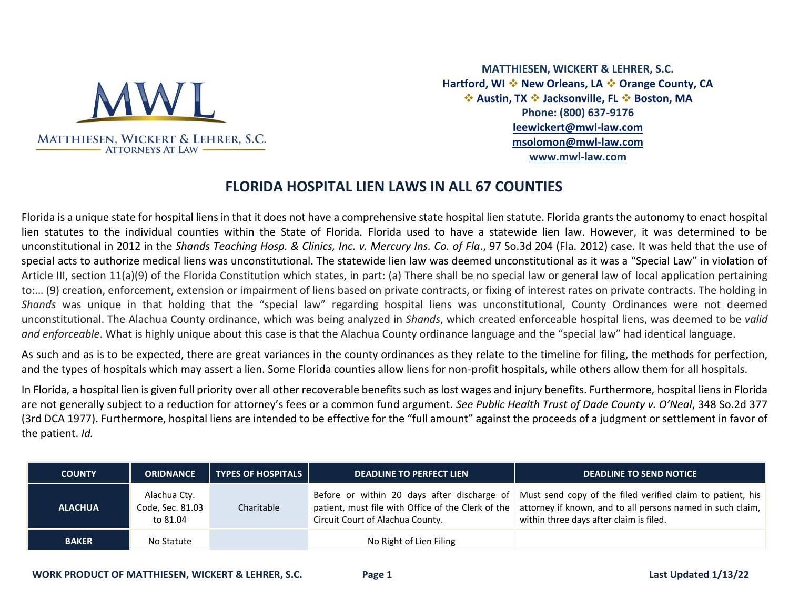

**MATTHIESEN, WICKERT & LEHRER, S.C. Hartford, WI** ❖ **New Orleans, LA** ❖ **Orange County, CA**  ❖ **Austin, TX** ❖ **Jacksonville, FL** ❖ **Boston, MA Phone: (800) 637-9176 [leewickert@mwl-law.com](mailto:leewickert@mwl-law.com) msolomon@mwl-law.com [www.mwl-law.com](http://www.mwl-law.com/)**

## **FLORIDA HOSPITAL LIEN LAWS IN ALL 67 COUNTIES**

Florida is a unique state for hospital liens in that it does not have a comprehensive state hospital lien statute. Florida grants the autonomy to enact hospital lien statutes to the individual counties within the State of Florida. Florida used to have a statewide lien law. However, it was determined to be unconstitutional in 2012 in the *Shands Teaching Hosp. & Clinics, Inc. v. Mercury Ins. Co. of Fla*., 97 So.3d 204 (Fla. 2012) case. It was held that the use of special acts to authorize medical liens was unconstitutional. The statewide lien law was deemed unconstitutional as it was a "Special Law" in violation of Article III, section 11(a)(9) of the Florida Constitution which states, in part: (a) There shall be no special law or general law of local application pertaining to:… (9) creation, enforcement, extension or impairment of liens based on private contracts, or fixing of interest rates on private contracts. The holding in *Shands* was unique in that holding that the "special law" regarding hospital liens was unconstitutional, County Ordinances were not deemed unconstitutional. The Alachua County ordinance, which was being analyzed in *Shands*, which created enforceable hospital liens, was deemed to be *valid and enforceable*. What is highly unique about this case is that the Alachua County ordinance language and the "special law" had identical language.

As such and as is to be expected, there are great variances in the county ordinances as they relate to the timeline for filing, the methods for perfection, and the types of hospitals which may assert a lien. Some Florida counties allow liens for non-profit hospitals, while others allow them for all hospitals.

In Florida, a hospital lien is given full priority over all other recoverable benefits such as lost wages and injury benefits. Furthermore, hospital liens in Florida are not generally subject to a reduction for attorney's fees or a common fund argument. *See Public Health Trust of Dade County v. O'Neal*, 348 So.2d 377 (3rd DCA 1977). Furthermore, hospital liens are intended to be effective for the "full amount" against the proceeds of a judgment or settlement in favor of the patient. *Id.*

| <b>COUNTY</b>  | <b>ORIDNANCE</b>                             | <b>TYPES OF HOSPITALS</b> | <b>DEADLINE TO PERFECT LIEN</b>  | <b>DEADLINE TO SEND NOTICE</b>                                                                                                                                                                                                                                     |
|----------------|----------------------------------------------|---------------------------|----------------------------------|--------------------------------------------------------------------------------------------------------------------------------------------------------------------------------------------------------------------------------------------------------------------|
| <b>ALACHUA</b> | Alachua Cty.<br>Code, Sec. 81.03<br>to 81.04 | Charitable                | Circuit Court of Alachua County. | Before or within 20 days after discharge of Must send copy of the filed verified claim to patient, his<br>patient, must file with Office of the Clerk of the attorney if known, and to all persons named in such claim,<br>within three days after claim is filed. |
| <b>BAKER</b>   | No Statute                                   |                           | No Right of Lien Filing          |                                                                                                                                                                                                                                                                    |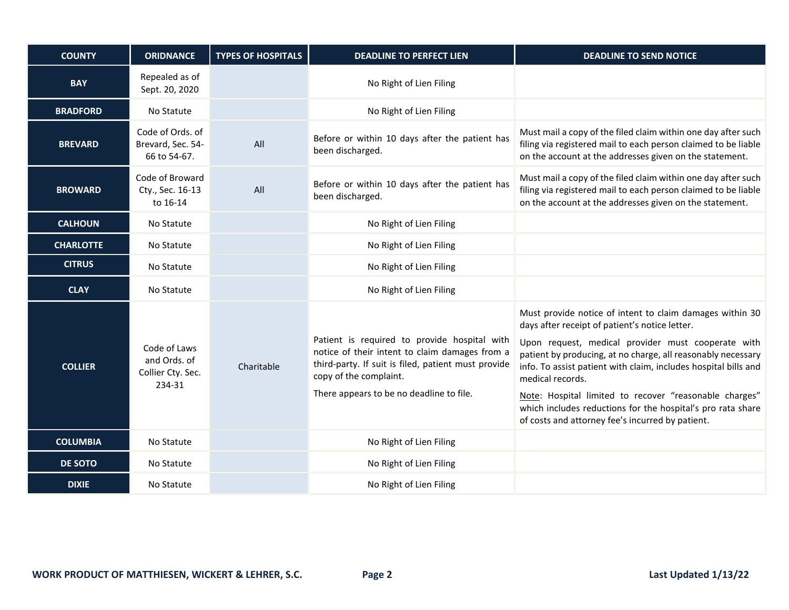| <b>COUNTY</b>    | <b>ORIDNANCE</b>                                            | <b>TYPES OF HOSPITALS</b> | <b>DEADLINE TO PERFECT LIEN</b>                                                                                                                                                                                             | <b>DEADLINE TO SEND NOTICE</b>                                                                                                                                                                                                                                                                                                                                                                                                                                                                       |
|------------------|-------------------------------------------------------------|---------------------------|-----------------------------------------------------------------------------------------------------------------------------------------------------------------------------------------------------------------------------|------------------------------------------------------------------------------------------------------------------------------------------------------------------------------------------------------------------------------------------------------------------------------------------------------------------------------------------------------------------------------------------------------------------------------------------------------------------------------------------------------|
| <b>BAY</b>       | Repealed as of<br>Sept. 20, 2020                            |                           | No Right of Lien Filing                                                                                                                                                                                                     |                                                                                                                                                                                                                                                                                                                                                                                                                                                                                                      |
| <b>BRADFORD</b>  | No Statute                                                  |                           | No Right of Lien Filing                                                                                                                                                                                                     |                                                                                                                                                                                                                                                                                                                                                                                                                                                                                                      |
| <b>BREVARD</b>   | Code of Ords. of<br>Brevard, Sec. 54-<br>66 to 54-67.       | All                       | Before or within 10 days after the patient has<br>been discharged.                                                                                                                                                          | Must mail a copy of the filed claim within one day after such<br>filing via registered mail to each person claimed to be liable<br>on the account at the addresses given on the statement.                                                                                                                                                                                                                                                                                                           |
| <b>BROWARD</b>   | Code of Broward<br>Cty., Sec. 16-13<br>to 16-14             | All                       | Before or within 10 days after the patient has<br>been discharged.                                                                                                                                                          | Must mail a copy of the filed claim within one day after such<br>filing via registered mail to each person claimed to be liable<br>on the account at the addresses given on the statement.                                                                                                                                                                                                                                                                                                           |
| <b>CALHOUN</b>   | No Statute                                                  |                           | No Right of Lien Filing                                                                                                                                                                                                     |                                                                                                                                                                                                                                                                                                                                                                                                                                                                                                      |
| <b>CHARLOTTE</b> | No Statute                                                  |                           | No Right of Lien Filing                                                                                                                                                                                                     |                                                                                                                                                                                                                                                                                                                                                                                                                                                                                                      |
| <b>CITRUS</b>    | No Statute                                                  |                           | No Right of Lien Filing                                                                                                                                                                                                     |                                                                                                                                                                                                                                                                                                                                                                                                                                                                                                      |
| <b>CLAY</b>      | No Statute                                                  |                           | No Right of Lien Filing                                                                                                                                                                                                     |                                                                                                                                                                                                                                                                                                                                                                                                                                                                                                      |
| <b>COLLIER</b>   | Code of Laws<br>and Ords. of<br>Collier Cty. Sec.<br>234-31 | Charitable                | Patient is required to provide hospital with<br>notice of their intent to claim damages from a<br>third-party. If suit is filed, patient must provide<br>copy of the complaint.<br>There appears to be no deadline to file. | Must provide notice of intent to claim damages within 30<br>days after receipt of patient's notice letter.<br>Upon request, medical provider must cooperate with<br>patient by producing, at no charge, all reasonably necessary<br>info. To assist patient with claim, includes hospital bills and<br>medical records.<br>Note: Hospital limited to recover "reasonable charges"<br>which includes reductions for the hospital's pro rata share<br>of costs and attorney fee's incurred by patient. |
| <b>COLUMBIA</b>  | No Statute                                                  |                           | No Right of Lien Filing                                                                                                                                                                                                     |                                                                                                                                                                                                                                                                                                                                                                                                                                                                                                      |
| <b>DE SOTO</b>   | No Statute                                                  |                           | No Right of Lien Filing                                                                                                                                                                                                     |                                                                                                                                                                                                                                                                                                                                                                                                                                                                                                      |
| <b>DIXIE</b>     | No Statute                                                  |                           | No Right of Lien Filing                                                                                                                                                                                                     |                                                                                                                                                                                                                                                                                                                                                                                                                                                                                                      |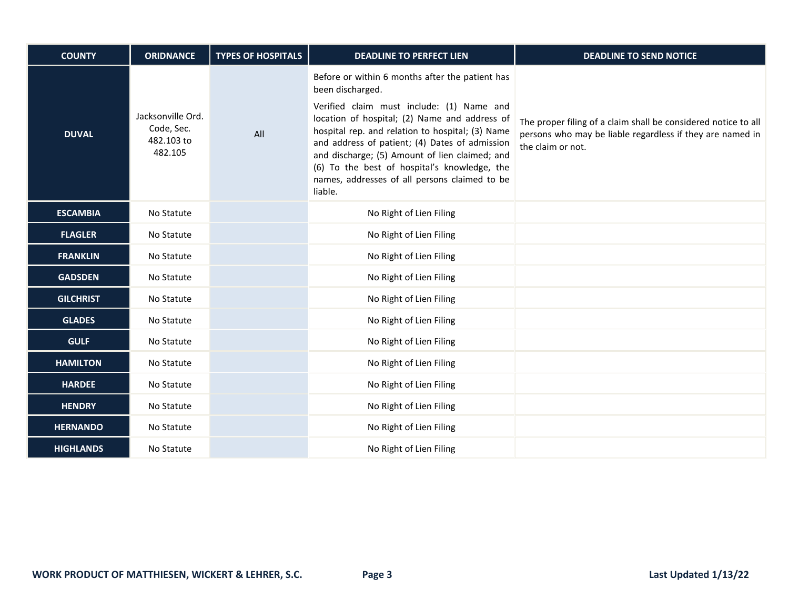| <b>COUNTY</b>    | <b>ORIDNANCE</b>                                         | <b>TYPES OF HOSPITALS</b> | <b>DEADLINE TO PERFECT LIEN</b>                                                                                                                                                                                                                                                                                                                                                                                                       | <b>DEADLINE TO SEND NOTICE</b>                                                                                                                   |
|------------------|----------------------------------------------------------|---------------------------|---------------------------------------------------------------------------------------------------------------------------------------------------------------------------------------------------------------------------------------------------------------------------------------------------------------------------------------------------------------------------------------------------------------------------------------|--------------------------------------------------------------------------------------------------------------------------------------------------|
| <b>DUVAL</b>     | Jacksonville Ord.<br>Code, Sec.<br>482.103 to<br>482.105 | All                       | Before or within 6 months after the patient has<br>been discharged.<br>Verified claim must include: (1) Name and<br>location of hospital; (2) Name and address of<br>hospital rep. and relation to hospital; (3) Name<br>and address of patient; (4) Dates of admission<br>and discharge; (5) Amount of lien claimed; and<br>(6) To the best of hospital's knowledge, the<br>names, addresses of all persons claimed to be<br>liable. | The proper filing of a claim shall be considered notice to all<br>persons who may be liable regardless if they are named in<br>the claim or not. |
| <b>ESCAMBIA</b>  | No Statute                                               |                           | No Right of Lien Filing                                                                                                                                                                                                                                                                                                                                                                                                               |                                                                                                                                                  |
| <b>FLAGLER</b>   | No Statute                                               |                           | No Right of Lien Filing                                                                                                                                                                                                                                                                                                                                                                                                               |                                                                                                                                                  |
| <b>FRANKLIN</b>  | No Statute                                               |                           | No Right of Lien Filing                                                                                                                                                                                                                                                                                                                                                                                                               |                                                                                                                                                  |
| <b>GADSDEN</b>   | No Statute                                               |                           | No Right of Lien Filing                                                                                                                                                                                                                                                                                                                                                                                                               |                                                                                                                                                  |
| <b>GILCHRIST</b> | No Statute                                               |                           | No Right of Lien Filing                                                                                                                                                                                                                                                                                                                                                                                                               |                                                                                                                                                  |
| <b>GLADES</b>    | No Statute                                               |                           | No Right of Lien Filing                                                                                                                                                                                                                                                                                                                                                                                                               |                                                                                                                                                  |
| <b>GULF</b>      | No Statute                                               |                           | No Right of Lien Filing                                                                                                                                                                                                                                                                                                                                                                                                               |                                                                                                                                                  |
| <b>HAMILTON</b>  | No Statute                                               |                           | No Right of Lien Filing                                                                                                                                                                                                                                                                                                                                                                                                               |                                                                                                                                                  |
| <b>HARDEE</b>    | No Statute                                               |                           | No Right of Lien Filing                                                                                                                                                                                                                                                                                                                                                                                                               |                                                                                                                                                  |
| <b>HENDRY</b>    | No Statute                                               |                           | No Right of Lien Filing                                                                                                                                                                                                                                                                                                                                                                                                               |                                                                                                                                                  |
| <b>HERNANDO</b>  | No Statute                                               |                           | No Right of Lien Filing                                                                                                                                                                                                                                                                                                                                                                                                               |                                                                                                                                                  |
| <b>HIGHLANDS</b> | No Statute                                               |                           | No Right of Lien Filing                                                                                                                                                                                                                                                                                                                                                                                                               |                                                                                                                                                  |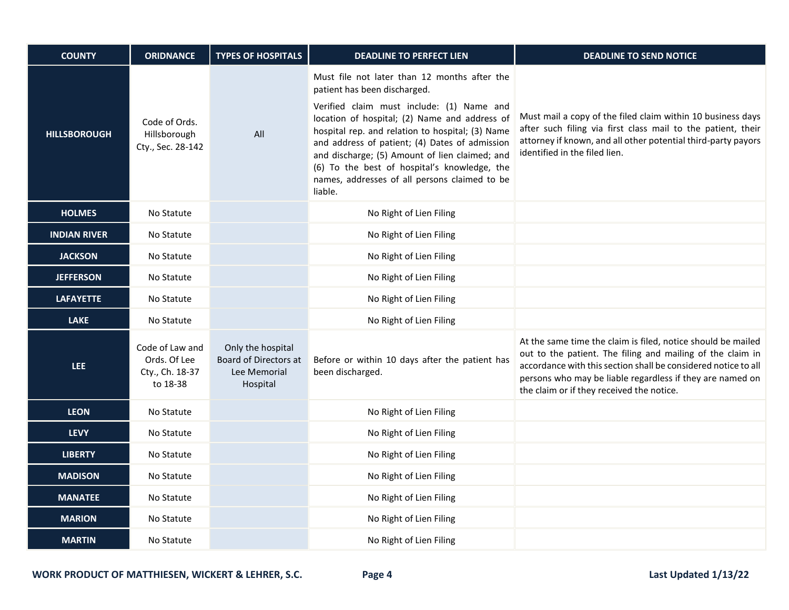| <b>COUNTY</b>       | <b>ORIDNANCE</b>                                               | <b>TYPES OF HOSPITALS</b>                                              | <b>DEADLINE TO PERFECT LIEN</b>                                                                                                                                                                                                                                                                                                                                                                                                                | <b>DEADLINE TO SEND NOTICE</b>                                                                                                                                                                                                                                                                         |
|---------------------|----------------------------------------------------------------|------------------------------------------------------------------------|------------------------------------------------------------------------------------------------------------------------------------------------------------------------------------------------------------------------------------------------------------------------------------------------------------------------------------------------------------------------------------------------------------------------------------------------|--------------------------------------------------------------------------------------------------------------------------------------------------------------------------------------------------------------------------------------------------------------------------------------------------------|
| <b>HILLSBOROUGH</b> | Code of Ords.<br>Hillsborough<br>Cty., Sec. 28-142             | All                                                                    | Must file not later than 12 months after the<br>patient has been discharged.<br>Verified claim must include: (1) Name and<br>location of hospital; (2) Name and address of<br>hospital rep. and relation to hospital; (3) Name<br>and address of patient; (4) Dates of admission<br>and discharge; (5) Amount of lien claimed; and<br>(6) To the best of hospital's knowledge, the<br>names, addresses of all persons claimed to be<br>liable. | Must mail a copy of the filed claim within 10 business days<br>after such filing via first class mail to the patient, their<br>attorney if known, and all other potential third-party payors<br>identified in the filed lien.                                                                          |
| <b>HOLMES</b>       | No Statute                                                     |                                                                        | No Right of Lien Filing                                                                                                                                                                                                                                                                                                                                                                                                                        |                                                                                                                                                                                                                                                                                                        |
| <b>INDIAN RIVER</b> | No Statute                                                     |                                                                        | No Right of Lien Filing                                                                                                                                                                                                                                                                                                                                                                                                                        |                                                                                                                                                                                                                                                                                                        |
| <b>JACKSON</b>      | No Statute                                                     |                                                                        | No Right of Lien Filing                                                                                                                                                                                                                                                                                                                                                                                                                        |                                                                                                                                                                                                                                                                                                        |
| <b>JEFFERSON</b>    | No Statute                                                     |                                                                        | No Right of Lien Filing                                                                                                                                                                                                                                                                                                                                                                                                                        |                                                                                                                                                                                                                                                                                                        |
| <b>LAFAYETTE</b>    | No Statute                                                     |                                                                        | No Right of Lien Filing                                                                                                                                                                                                                                                                                                                                                                                                                        |                                                                                                                                                                                                                                                                                                        |
| <b>LAKE</b>         | No Statute                                                     |                                                                        | No Right of Lien Filing                                                                                                                                                                                                                                                                                                                                                                                                                        |                                                                                                                                                                                                                                                                                                        |
| LEE.                | Code of Law and<br>Ords. Of Lee<br>Cty., Ch. 18-37<br>to 18-38 | Only the hospital<br>Board of Directors at<br>Lee Memorial<br>Hospital | Before or within 10 days after the patient has<br>been discharged.                                                                                                                                                                                                                                                                                                                                                                             | At the same time the claim is filed, notice should be mailed<br>out to the patient. The filing and mailing of the claim in<br>accordance with this section shall be considered notice to all<br>persons who may be liable regardless if they are named on<br>the claim or if they received the notice. |
| <b>LEON</b>         | No Statute                                                     |                                                                        | No Right of Lien Filing                                                                                                                                                                                                                                                                                                                                                                                                                        |                                                                                                                                                                                                                                                                                                        |
| <b>LEVY</b>         | No Statute                                                     |                                                                        | No Right of Lien Filing                                                                                                                                                                                                                                                                                                                                                                                                                        |                                                                                                                                                                                                                                                                                                        |
| <b>LIBERTY</b>      | No Statute                                                     |                                                                        | No Right of Lien Filing                                                                                                                                                                                                                                                                                                                                                                                                                        |                                                                                                                                                                                                                                                                                                        |
| <b>MADISON</b>      | No Statute                                                     |                                                                        | No Right of Lien Filing                                                                                                                                                                                                                                                                                                                                                                                                                        |                                                                                                                                                                                                                                                                                                        |
| <b>MANATEE</b>      | No Statute                                                     |                                                                        | No Right of Lien Filing                                                                                                                                                                                                                                                                                                                                                                                                                        |                                                                                                                                                                                                                                                                                                        |
| <b>MARION</b>       | No Statute                                                     |                                                                        | No Right of Lien Filing                                                                                                                                                                                                                                                                                                                                                                                                                        |                                                                                                                                                                                                                                                                                                        |
| <b>MARTIN</b>       | No Statute                                                     |                                                                        | No Right of Lien Filing                                                                                                                                                                                                                                                                                                                                                                                                                        |                                                                                                                                                                                                                                                                                                        |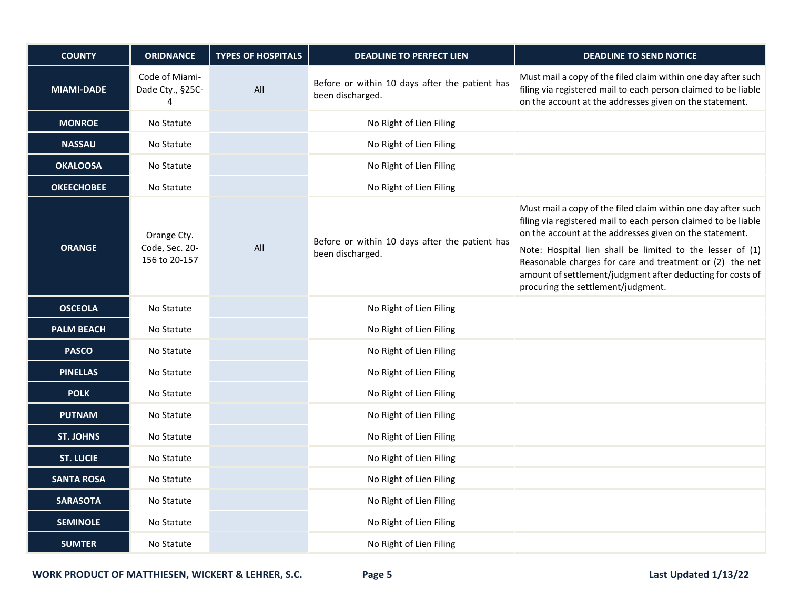| <b>COUNTY</b>     | <b>ORIDNANCE</b>                               | <b>TYPES OF HOSPITALS</b> | <b>DEADLINE TO PERFECT LIEN</b>                                    | <b>DEADLINE TO SEND NOTICE</b>                                                                                                                                                                                                                                                                                                                                                                                          |
|-------------------|------------------------------------------------|---------------------------|--------------------------------------------------------------------|-------------------------------------------------------------------------------------------------------------------------------------------------------------------------------------------------------------------------------------------------------------------------------------------------------------------------------------------------------------------------------------------------------------------------|
| <b>MIAMI-DADE</b> | Code of Miami-<br>Dade Cty., §25C-<br>4        | All                       | Before or within 10 days after the patient has<br>been discharged. | Must mail a copy of the filed claim within one day after such<br>filing via registered mail to each person claimed to be liable<br>on the account at the addresses given on the statement.                                                                                                                                                                                                                              |
| <b>MONROE</b>     | No Statute                                     |                           | No Right of Lien Filing                                            |                                                                                                                                                                                                                                                                                                                                                                                                                         |
| <b>NASSAU</b>     | No Statute                                     |                           | No Right of Lien Filing                                            |                                                                                                                                                                                                                                                                                                                                                                                                                         |
| <b>OKALOOSA</b>   | No Statute                                     |                           | No Right of Lien Filing                                            |                                                                                                                                                                                                                                                                                                                                                                                                                         |
| <b>OKEECHOBEE</b> | No Statute                                     |                           | No Right of Lien Filing                                            |                                                                                                                                                                                                                                                                                                                                                                                                                         |
| <b>ORANGE</b>     | Orange Cty.<br>Code, Sec. 20-<br>156 to 20-157 | All                       | Before or within 10 days after the patient has<br>been discharged. | Must mail a copy of the filed claim within one day after such<br>filing via registered mail to each person claimed to be liable<br>on the account at the addresses given on the statement.<br>Note: Hospital lien shall be limited to the lesser of (1)<br>Reasonable charges for care and treatment or (2) the net<br>amount of settlement/judgment after deducting for costs of<br>procuring the settlement/judgment. |
| <b>OSCEOLA</b>    | No Statute                                     |                           | No Right of Lien Filing                                            |                                                                                                                                                                                                                                                                                                                                                                                                                         |
| <b>PALM BEACH</b> | No Statute                                     |                           | No Right of Lien Filing                                            |                                                                                                                                                                                                                                                                                                                                                                                                                         |
| <b>PASCO</b>      | No Statute                                     |                           | No Right of Lien Filing                                            |                                                                                                                                                                                                                                                                                                                                                                                                                         |
| <b>PINELLAS</b>   | No Statute                                     |                           | No Right of Lien Filing                                            |                                                                                                                                                                                                                                                                                                                                                                                                                         |
| <b>POLK</b>       | No Statute                                     |                           | No Right of Lien Filing                                            |                                                                                                                                                                                                                                                                                                                                                                                                                         |
| <b>PUTNAM</b>     | No Statute                                     |                           | No Right of Lien Filing                                            |                                                                                                                                                                                                                                                                                                                                                                                                                         |
| <b>ST. JOHNS</b>  | No Statute                                     |                           | No Right of Lien Filing                                            |                                                                                                                                                                                                                                                                                                                                                                                                                         |
| <b>ST. LUCIE</b>  | No Statute                                     |                           | No Right of Lien Filing                                            |                                                                                                                                                                                                                                                                                                                                                                                                                         |
| <b>SANTA ROSA</b> | No Statute                                     |                           | No Right of Lien Filing                                            |                                                                                                                                                                                                                                                                                                                                                                                                                         |
| <b>SARASOTA</b>   | No Statute                                     |                           | No Right of Lien Filing                                            |                                                                                                                                                                                                                                                                                                                                                                                                                         |
| <b>SEMINOLE</b>   | No Statute                                     |                           | No Right of Lien Filing                                            |                                                                                                                                                                                                                                                                                                                                                                                                                         |
| <b>SUMTER</b>     | No Statute                                     |                           | No Right of Lien Filing                                            |                                                                                                                                                                                                                                                                                                                                                                                                                         |